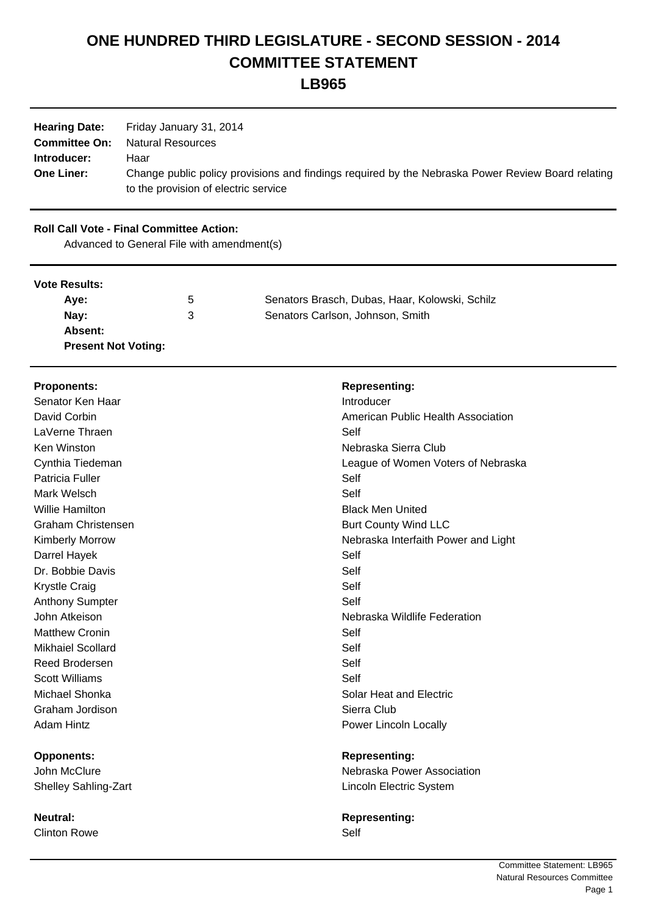# **ONE HUNDRED THIRD LEGISLATURE - SECOND SESSION - 2014 COMMITTEE STATEMENT**

**LB965**

| <b>Hearing Date:</b> | Friday January 31, 2014                                                                           |
|----------------------|---------------------------------------------------------------------------------------------------|
| <b>Committee On:</b> | Natural Resources                                                                                 |
| Introducer:          | Haar                                                                                              |
| <b>One Liner:</b>    | Change public policy provisions and findings required by the Nebraska Power Review Board relating |
|                      | to the provision of electric service                                                              |

## **Roll Call Vote - Final Committee Action:**

Advanced to General File with amendment(s)

### **Vote Results:**

| Ave:                       | $\mathbf{b}$ | Senators Brasch, Dubas, Haar, Kolowski, Schilz |
|----------------------------|--------------|------------------------------------------------|
| Nay:                       | З            | Senators Carlson, Johnson, Smith               |
| Absent:                    |              |                                                |
| <b>Present Not Voting:</b> |              |                                                |

| <b>Proponents:</b>                | <b>Representing:</b>                |
|-----------------------------------|-------------------------------------|
| Senator Ken Haar                  | Introducer                          |
| David Corbin                      | American Public Health Association  |
| LaVerne Thraen                    | Self                                |
| Ken Winston                       | Nebraska Sierra Club                |
| Cynthia Tiedeman                  | League of Women Voters of Nebraska  |
| Patricia Fuller                   | Self                                |
| Mark Welsch                       | Self                                |
| <b>Willie Hamilton</b>            | <b>Black Men United</b>             |
| <b>Graham Christensen</b>         | <b>Burt County Wind LLC</b>         |
| <b>Kimberly Morrow</b>            | Nebraska Interfaith Power and Light |
| Darrel Hayek                      | Self                                |
| Dr. Bobbie Davis                  | Self                                |
| <b>Krystle Craig</b>              | Self                                |
| <b>Anthony Sumpter</b>            | Self                                |
| John Atkeison                     | Nebraska Wildlife Federation        |
| <b>Matthew Cronin</b>             | Self                                |
| <b>Mikhaiel Scollard</b>          | Self                                |
| <b>Reed Brodersen</b>             | Self                                |
| <b>Scott Williams</b>             | Self                                |
| Michael Shonka                    | Solar Heat and Electric             |
| Graham Jordison                   | Sierra Club                         |
| <b>Adam Hintz</b>                 | Power Lincoln Locally               |
|                                   |                                     |
| <b>Opponents:</b><br>John McClure | <b>Representing:</b>                |
|                                   | Nebraska Power Association          |
| <b>Shelley Sahling-Zart</b>       | Lincoln Electric System             |
| <b>Neutral:</b>                   | <b>Representing:</b>                |

Clinton Rowe Self